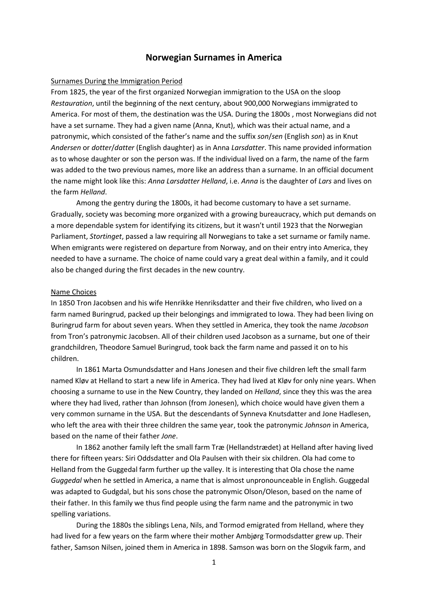# **Norwegian Surnames in America**

#### Surnames During the Immigration Period

From 1825, the year of the first organized Norwegian immigration to the USA on the sloop *Restauration*, until the beginning of the next century, about 900,000 Norwegians immigrated to America. For most of them, the destination was the USA. During the 1800s , most Norwegians did not have a set surname. They had a given name (Anna, Knut), which was their actual name, and a patronymic, which consisted of the father's name and the suffix *son*/*sen* (English *son*) as in Knut *Andersen* or *dotter*/*datter* (English daughter) as in Anna *Larsdatter*. This name provided information as to whose daughter or son the person was. If the individual lived on a farm, the name of the farm was added to the two previous names, more like an address than a surname. In an official document the name might look like this: *Anna Larsdatter Helland*, i.e. *Anna* is the daughter of *Lars* and lives on the farm *Helland*.

Among the gentry during the 1800s, it had become customary to have a set surname. Gradually, society was becoming more organized with a growing bureaucracy, which put demands on a more dependable system for identifying its citizens, but it wasn't until 1923 that the Norwegian Parliament, *Stortinget*, passed a law requiring all Norwegians to take a set surname or family name. When emigrants were registered on departure from Norway, and on their entry into America, they needed to have a surname. The choice of name could vary a great deal within a family, and it could also be changed during the first decades in the new country.

#### Name Choices

In 1850 Tron Jacobsen and his wife Henrikke Henriksdatter and their five children, who lived on a farm named Buringrud, packed up their belongings and immigrated to Iowa. They had been living on Buringrud farm for about seven years. When they settled in America, they took the name *Jacobson* from Tron's patronymic Jacobsen. All of their children used Jacobson as a surname, but one of their grandchildren, Theodore Samuel Buringrud, took back the farm name and passed it on to his children.

In 1861 Marta Osmundsdatter and Hans Jonesen and their five children left the small farm named Kløv at Helland to start a new life in America. They had lived at Kløv for only nine years. When choosing a surname to use in the New Country, they landed on *Helland*, since they this was the area where they had lived, rather than Johnson (from Jonesen), which choice would have given them a very common surname in the USA. But the descendants of Synneva Knutsdatter and Jone Hadlesen, who left the area with their three children the same year, took the patronymic *Johnson* in America, based on the name of their father *Jone*.

In 1862 another family left the small farm Træ (Hellandstrædet) at Helland after having lived there for fifteen years: Siri Oddsdatter and Ola Paulsen with their six children. Ola had come to Helland from the Guggedal farm further up the valley. It is interesting that Ola chose the name *Guggedal* when he settled in America, a name that is almost unpronounceable in English. Guggedal was adapted to Gudgdal, but his sons chose the patronymic Olson/Oleson, based on the name of their father. In this family we thus find people using the farm name and the patronymic in two spelling variations.

During the 1880s the siblings Lena, Nils, and Tormod emigrated from Helland, where they had lived for a few years on the farm where their mother Ambjørg Tormodsdatter grew up. Their father, Samson Nilsen, joined them in America in 1898. Samson was born on the Slogvik farm, and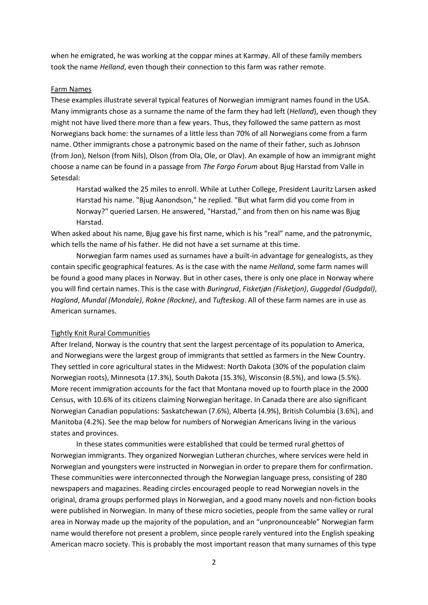when he emigrated, he was working at the coppar mines at Karmøy. All of these family members took the name *Helland*, even though their connection to this farm was rather remote.

#### Farm Names

These examples illustrate several typical features of Norwegian immigrant names found in the USA. Many immigrants chose as a surname the name of the farm they had left (*Helland*), even though they might not have lived there more than a few years. Thus, they followed the same pattern as most Norwegians back home: the surnames of a little less than 70% of all Norwegians come from a farm name. Other immigrants chose a patronymic based on the name of their father, such as Johnson (from Jon), Nelson (from Nils), Olson (from Ola, Ole, or Olav). An example of how an immigrant might choose a name can be found in a passage from *The Fargo Forum* about Bjug Harstad from Valle in Setesdal:

Harstad walked the 25 miles to enroll. While at Luther College, President Lauritz Larsen asked Harstad his name. "Bjug Aanondson," he replied. "But what farm did you come from in Norway?" queried Larsen. He answered, "Harstad," and from then on his name was Bjug Harstad.

When asked about his name, Biug gave his first name, which is his "real" name, and the patronymic, which tells the name of his father. He did not have a set surname at this time.

Norwegian farm names used as surnames have a built-in advantage for genealogists, as they contain specific geographical features. As is the case with the name *Helland*, some farm names will be found a good many places in Norway. But in other cases, there is only one place in Norway where you will find certain names. This is the case with *Buringrud*, *Fisketjøn (Fisketjon)*, *Guggedal (Gudgdal)*, *Hagland*, *Mundal (Mondale)*, *Rokne (Rockne)*, and *Tufteskog*. All of these farm names are in use as American surnames.

## Tightly Knit Rural Communities

After Ireland, Norway is the country that sent the largest percentage of its population to America, and Norwegians were the largest group of immigrants that settled as farmers in the New Country. They settled in core agricultural states in the Midwest: North Dakota (30% of the population claim Norwegian roots), Minnesota (17.3%), South Dakota (15.3%), Wisconsin (8.5%), and Iowa (5.5%). More recent immigration accounts for the fact that Montana moved up to fourth place in the 2000 Census, with 10.6% of its citizens claiming Norwegian heritage. In Canada there are also significant Norwegian Canadian populations: Saskatchewan (7.6%), Alberta (4.9%), British Columbia (3.6%), and Manitoba (4.2%). See the map below for numbers of Norwegian Americans living in the various states and provinces.

In these states communities were established that could be termed rural ghettos of Norwegian immigrants. They organized Norwegian Lutheran churches, where services were held in Norwegian and youngsters were instructed in Norwegian in order to prepare them for confirmation. These communities were interconnected through the Norwegian language press, consisting of 280 newspapers and magazines. Reading circles encouraged people to read Norwegian novels in the original, drama groups performed plays in Norwegian, and a good many novels and non-fiction books were published in Norwegian. In many of these micro societies, people from the same valley or rural area in Norway made up the majority of the population, and an "unpronounceable" Norwegian farm name would therefore not present a problem, since people rarely ventured into the English speaking American macro society. This is probably the most important reason that many surnames of this type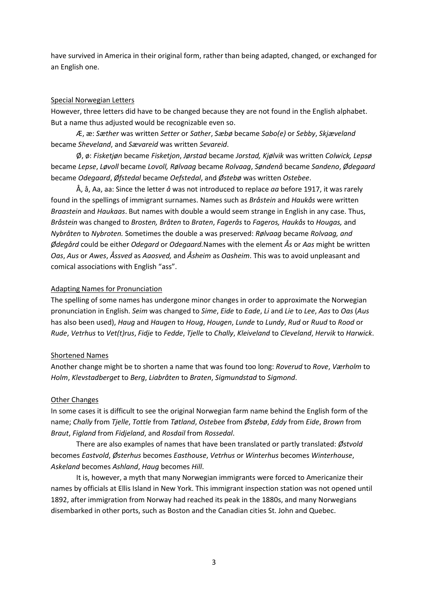have survived in America in their original form, rather than being adapted, changed, or exchanged for an English one.

## Special Norwegian Letters

However, three letters did have to be changed because they are not found in the English alphabet. But a name thus adjusted would be recognizable even so.

Æ, æ: *Sæther* was written *Setter* or *Sather*, *Sæbø* became *Sabo(e)* or *Sebby*, *Skjæveland* became *Sheveland*, and *Sævareid* was written *Sevareid*.

Ø, ø: *Fisketjøn* became *Fisketjon*, *Jørstad* became *Jorstad, Kjølvik* was written *Colwick, Lepsø* became *Lepse*, *Løvoll* became *Lovoll, Rølvaag* became *Rolvaag*, *Søndenå* became *Sandeno*, *Ødegaard* became *Odegaard*, *Øfstedal* became *Oefstedal*, and *Østebø* was written *Ostebee*.

Å, å, Aa, aa: Since the letter *å* was not introduced to replace *aa* before 1917, it was rarely found in the spellings of immigrant surnames. Names such as *Bråstein* and *Haukås* were written *Braastein* and *Haukaas*. But names with double a would seem strange in English in any case. Thus, *Bråstein* was changed to *Brosten, Bråten* to *Braten*, *Fagerås* to *Fageros, Haukås* to *Hougas,* and *Nybråten* to *Nybroten.* Sometimes the double a was preserved: *Rølvaag* became *Rolvaag, and Ødegård* could be either *Odegard* or *Odegaard.*Names with the element *Ås* or *Aas* might be written *Oas*, *Aus* or *Awes*, *Åssved* as *Aaosved,* and *Åsheim* as *Oasheim*. This was to avoid unpleasant and comical associations with English "ass".

# Adapting Names for Pronunciation

The spelling of some names has undergone minor changes in order to approximate the Norwegian pronunciation in English. *Seim* was changed to *Sime*, *Eide* to *Eade*, *Li* and *Lie* to *Lee*, *Aas* to *Oas* (*Aus* has also been used), *Haug* and *Haugen* to *Houg*, *Hougen*, *Lunde* to *Lundy*, *Rud* or *Ruud* to *Rood* or *Rude*, *Vetrhus* to *Vet(t)rus*, *Fidje* to *Fedde*, *Tjelle* to *Chally*, *Kleiveland* to *Cleveland*, *Hervik* to *Harwick*.

# Shortened Names

Another change might be to shorten a name that was found too long: *Roverud* to *Rove*, *Værholm* to *Holm*, *Klevstadberget* to *Berg*, *Liabråten* to *Braten*, *Sigmundstad* to *Sigmond*.

# Other Changes

In some cases it is difficult to see the original Norwegian farm name behind the English form of the name; *Chally* from *Tjelle*, *Tottle* from *Tøtland*, *Ostebee* from *Østebø*, *Eddy* from *Eide*, *Brown* from *Braut*, *Figland* from *Fidjeland*, and *Rosdail* from *Rossedal*.

There are also examples of names that have been translated or partly translated: *Østvold* becomes *Eastvold*, *Østerhus* becomes *Easthouse*, *Vetrhus* or *Winterhus* becomes *Winterhouse*, *Askeland* becomes *Ashland*, *Haug* becomes *Hill*.

It is, however, a myth that many Norwegian immigrants were forced to Americanize their names by officials at Ellis Island in New York. This immigrant inspection station was not opened until 1892, after immigration from Norway had reached its peak in the 1880s, and many Norwegians disembarked in other ports, such as Boston and the Canadian cities St. John and Quebec.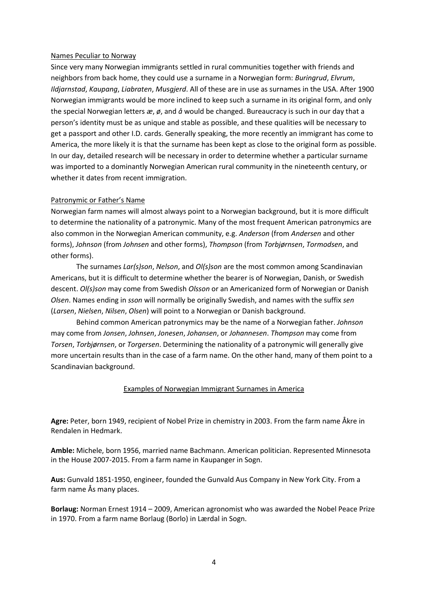## Names Peculiar to Norway

Since very many Norwegian immigrants settled in rural communities together with friends and neighbors from back home, they could use a surname in a Norwegian form: *Buringrud*, *Elvrum*, *Ildjarnstad*, *Kaupang*, *Liabraten*, *Musgjerd*. All of these are in use as surnames in the USA. After 1900 Norwegian immigrants would be more inclined to keep such a surname in its original form, and only the special Norwegian letters *æ*, *ø*, and *å* would be changed. Bureaucracy is such in our day that a person's identity must be as unique and stable as possible, and these qualities will be necessary to get a passport and other I.D. cards. Generally speaking, the more recently an immigrant has come to America, the more likely it is that the surname has been kept as close to the original form as possible. In our day, detailed research will be necessary in order to determine whether a particular surname was imported to a dominantly Norwegian American rural community in the nineteenth century, or whether it dates from recent immigration.

## Patronymic or Father's Name

Norwegian farm names will almost always point to a Norwegian background, but it is more difficult to determine the nationality of a patronymic. Many of the most frequent American patronymics are also common in the Norwegian American community, e.g. *Anderson* (from *Andersen* and other forms), *Johnson* (from *Johnsen* and other forms), *Thompson* (from *Torbjørnsen*, *Tormodsen*, and other forms).

The surnames *Lar(s)son*, *Nelson*, and *Ol(s)son* are the most common among Scandinavian Americans, but it is difficult to determine whether the bearer is of Norwegian, Danish, or Swedish descent. *Ol(s)son* may come from Swedish *Olsson* or an Americanized form of Norwegian or Danish *Olsen*. Names ending in *sson* will normally be originally Swedish, and names with the suffix *sen* (*Larsen*, *Nielsen*, *Nilsen*, *Olsen*) will point to a Norwegian or Danish background.

Behind common American patronymics may be the name of a Norwegian father. *Johnson* may come from *Jonsen*, *Johnsen*, *Jonesen*, *Johansen*, or *Johannesen*. *Thompson* may come from *Torsen*, *Torbjørnsen*, or *Torgersen*. Determining the nationality of a patronymic will generally give more uncertain results than in the case of a farm name. On the other hand, many of them point to a Scandinavian background.

## Examples of Norwegian Immigrant Surnames in America

**Agre:** Peter, born 1949, recipient of Nobel Prize in chemistry in 2003. From the farm name Åkre in Rendalen in Hedmark.

**Amble:** Michele, born 1956, married name Bachmann. American politician. Represented Minnesota in the House 2007-2015. From a farm name in Kaupanger in Sogn.

**Aus:** Gunvald 1851-1950, engineer, founded the Gunvald Aus Company in New York City. From a farm name Ås many places.

**Borlaug:** Norman Ernest 1914 – 2009, American agronomist who was awarded the Nobel Peace Prize in 1970. From a farm name Borlaug (Borlo) in Lærdal in Sogn.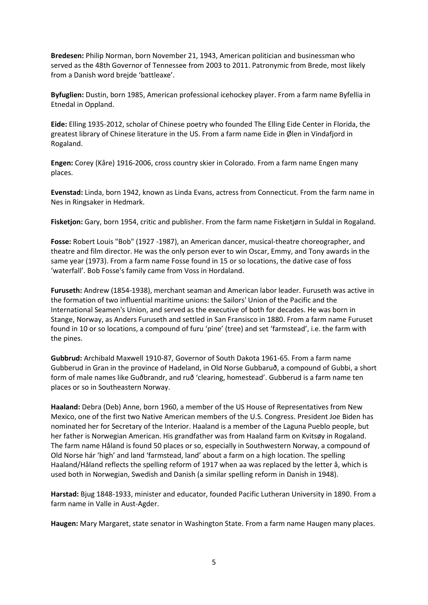**Bredesen:** Philip Norman, born November 21, 1943, American politician and businessman who served as the 48th Governor of Tennessee from 2003 to 2011. Patronymic from Brede, most likely from a Danish word brejde 'battleaxe'.

**Byfuglien:** Dustin, born 1985, American professional icehockey player. From a farm name Byfellia in Etnedal in Oppland.

**Eide:** Elling 1935-2012, scholar of Chinese poetry who founded The Elling Eide Center in Florida, the greatest library of Chinese literature in the US. From a farm name Eide in Ølen in Vindafjord in Rogaland.

**Engen:** Corey (Kåre) 1916-2006, cross country skier in Colorado. From a farm name Engen many places.

**Evenstad:** Linda, born 1942, known as Linda Evans, actress from Connecticut. From the farm name in Nes in Ringsaker in Hedmark.

**Fisketjon:** Gary, born 1954, critic and publisher. From the farm name Fisketjørn in Suldal in Rogaland.

**Fosse:** Robert Louis "Bob" (1927 -1987), an American dancer, musical-theatre choreographer, and theatre and film director. He was the only person ever to win Oscar, Emmy, and Tony awards in the same year (1973). From a farm name Fosse found in 15 or so locations, the dative case of foss 'waterfall'. Bob Fosse's family came from Voss in Hordaland.

**Furuseth:** Andrew (1854-1938), merchant seaman and American labor leader. Furuseth was active in the formation of two influential maritime unions: the Sailors' Union of the Pacific and the International Seamen's Union, and served as the executive of both for decades. He was born in Stange, Norway, as Anders Furuseth and settled in San Fransisco in 1880. From a farm name Furuset found in 10 or so locations, a compound of furu 'pine' (tree) and set 'farmstead', i.e. the farm with the pines.

**Gubbrud:** Archibald Maxwell 1910-87, Governor of South Dakota 1961-65. From a farm name Gubberud in Gran in the province of Hadeland, in Old Norse Gubbaruð, a compound of Gubbi, a short form of male names like Guðbrandr, and ruð 'clearing, homestead'. Gubberud is a farm name ten places or so in Southeastern Norway.

**Haaland:** Debra (Deb) Anne, born 1960, a member of the US House of Representatives from New Mexico, one of the first two Native American members of the U.S. Congress. President Joe Biden has nominated her for Secretary of the Interior. Haaland is a member of the Laguna Pueblo people, but her father is Norwegian American. His grandfather was from Haaland farm on Kvitsøy in Rogaland. The farm name Håland is found 50 places or so, especially in Southwestern Norway, a compound of Old Norse hár 'high' and land 'farmstead, land' about a farm on a high location. The spelling Haaland/Håland reflects the spelling reform of 1917 when aa was replaced by the letter å, which is used both in Norwegian, Swedish and Danish (a similar spelling reform in Danish in 1948).

**Harstad:** Bjug 1848-1933, minister and educator, founded Pacific Lutheran University in 1890. From a farm name in Valle in Aust-Agder.

**Haugen:** Mary Margaret, state senator in Washington State. From a farm name Haugen many places.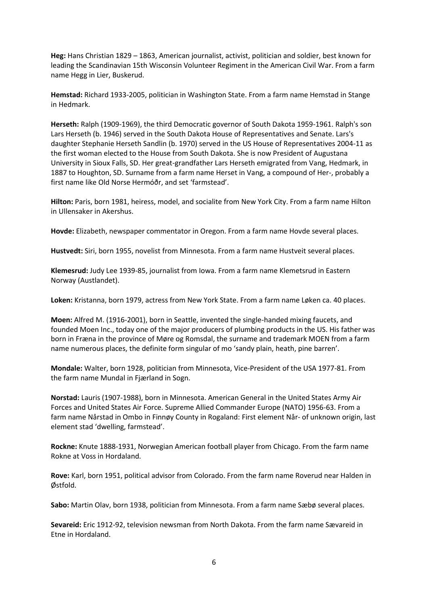**Heg:** Hans Christian 1829 – 1863, American journalist, activist, politician and soldier, best known for leading the Scandinavian 15th Wisconsin Volunteer Regiment in the American Civil War. From a farm name Hegg in Lier, Buskerud.

**Hemstad:** Richard 1933-2005, politician in Washington State. From a farm name Hemstad in Stange in Hedmark.

**Herseth:** Ralph (1909-1969), the third Democratic governor of South Dakota 1959-1961. Ralph's son Lars Herseth (b. 1946) served in the South Dakota House of Representatives and Senate. Lars's daughter Stephanie Herseth Sandlin (b. 1970) served in the US House of Representatives 2004-11 as the first woman elected to the House from South Dakota. She is now President of Augustana University in Sioux Falls, SD. Her great-grandfather Lars Herseth emigrated from Vang, Hedmark, in 1887 to Houghton, SD. Surname from a farm name Herset in Vang, a compound of Her-, probably a first name like Old Norse Hermóðr, and set 'farmstead'.

**Hilton:** Paris, born 1981, heiress, model, and socialite from New York City. From a farm name Hilton in Ullensaker in Akershus.

**Hovde:** Elizabeth, newspaper commentator in Oregon. From a farm name Hovde several places.

**Hustvedt:** Siri, born 1955, novelist from Minnesota. From a farm name Hustveit several places.

**Klemesrud:** Judy Lee 1939-85, journalist from Iowa. From a farm name Klemetsrud in Eastern Norway (Austlandet).

**Loken:** Kristanna, born 1979, actress from New York State. From a farm name Løken ca. 40 places.

**Moen:** Alfred M. (1916-2001), born in Seattle, invented the single-handed mixing faucets, and founded Moen Inc., today one of the major producers of plumbing products in the US. His father was born in Fræna in the province of Møre og Romsdal, the surname and trademark MOEN from a farm name numerous places, the definite form singular of mo 'sandy plain, heath, pine barren'.

**Mondale:** Walter, born 1928, politician from Minnesota, Vice-President of the USA 1977-81. From the farm name Mundal in Fjærland in Sogn.

**Norstad:** Lauris (1907-1988), born in Minnesota. American General in the United States Army Air Forces and United States Air Force. Supreme Allied Commander Europe (NATO) 1956-63. From a farm name Nårstad in Ombo in Finnøy County in Rogaland: First element Når- of unknown origin, last element stad 'dwelling, farmstead'.

**Rockne:** Knute 1888-1931, Norwegian American football player from Chicago. From the farm name Rokne at Voss in Hordaland.

**Rove:** Karl, born 1951, political advisor from Colorado. From the farm name Roverud near Halden in Østfold.

**Sabo:** Martin Olav, born 1938, politician from Minnesota. From a farm name Sæbø several places.

**Sevareid:** Eric 1912-92, television newsman from North Dakota. From the farm name Sævareid in Etne in Hordaland.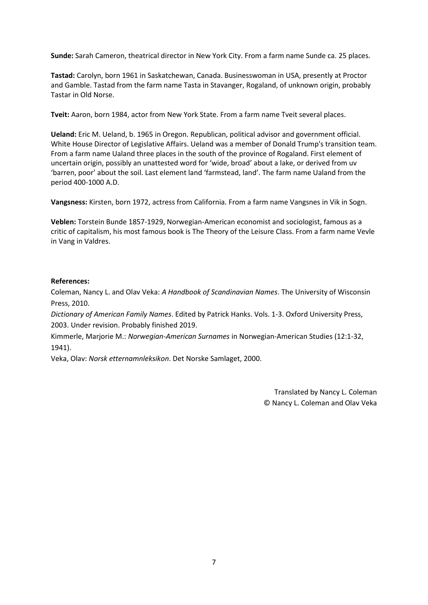**Sunde:** Sarah Cameron, theatrical director in New York City. From a farm name Sunde ca. 25 places.

**Tastad:** Carolyn, born 1961 in Saskatchewan, Canada. Businesswoman in USA, presently at Proctor and Gamble. Tastad from the farm name Tasta in Stavanger, Rogaland, of unknown origin, probably Tastar in Old Norse.

**Tveit:** Aaron, born 1984, actor from New York State. From a farm name Tveit several places.

**Ueland:** Eric M. Ueland, b. 1965 in Oregon. Republican, political advisor and government official. White House Director of Legislative Affairs. Ueland was a member of Donald Trump's transition team. From a farm name Ualand three places in the south of the province of Rogaland. First element of uncertain origin, possibly an unattested word for 'wide, broad' about a lake, or derived from uv 'barren, poor' about the soil. Last element land 'farmstead, land'. The farm name Ualand from the period 400-1000 A.D.

**Vangsness:** Kirsten, born 1972, actress from California. From a farm name Vangsnes in Vik in Sogn.

**Veblen:** Torstein Bunde 1857-1929, Norwegian-American economist and sociologist, famous as a critic of capitalism, his most famous book is The Theory of the Leisure Class. From a farm name Vevle in Vang in Valdres.

## **References:**

Coleman, Nancy L. and Olav Veka: *A Handbook of Scandinavian Names*. The University of Wisconsin Press, 2010.

*Dictionary of American Family Names*. Edited by Patrick Hanks. Vols. 1-3. Oxford University Press, 2003. Under revision. Probably finished 2019.

Kimmerle, Marjorie M.: *Norwegian-American Surnames* in Norwegian-American Studies (12:1-32, 1941).

Veka, Olav: *Norsk etternamnleksikon*. Det Norske Samlaget, 2000.

Translated by Nancy L. Coleman © Nancy L. Coleman and Olav Veka